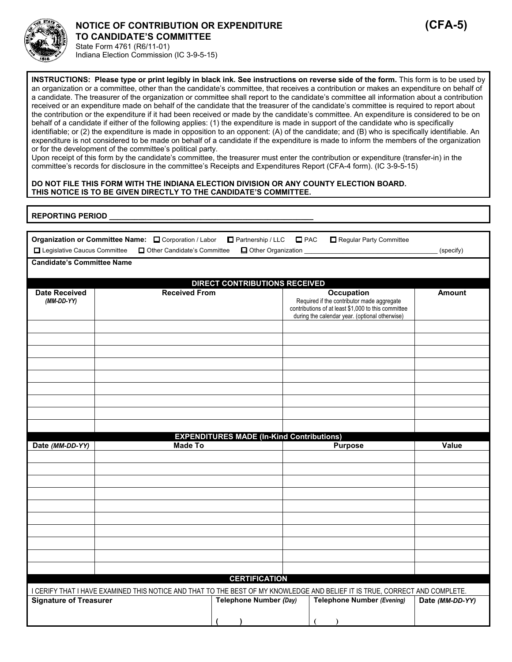

# **NOTICE OF CONTRIBUTION OR EXPENDITURE (CFA-5) TO CANDIDATE'S COMMITTEE**

State Form 4761 (R6/11-01) Indiana Election Commission (IC 3-9-5-15)

**INSTRUCTIONS: Please type or print legibly in black ink. See instructions on reverse side of the form.** This form is to be used by an organization or a committee, other than the candidate's committee, that receives a contribution or makes an expenditure on behalf of a candidate. The treasurer of the organization or committee shall report to the candidate's committee all information about a contribution received or an expenditure made on behalf of the candidate that the treasurer of the candidate's committee is required to report about the contribution or the expenditure if it had been received or made by the candidate's committee. An expenditure is considered to be on behalf of a candidate if either of the following applies: (1) the expenditure is made in support of the candidate who is specifically identifiable; or (2) the expenditure is made in opposition to an opponent: (A) of the candidate; and (B) who is specifically identifiable. An expenditure is not considered to be made on behalf of a candidate if the expenditure is made to inform the members of the organization or for the development of the committee's political party.

Upon receipt of this form by the candidate's committee, the treasurer must enter the contribution or expenditure (transfer-in) in the committee's records for disclosure in the committee's Receipts and Expenditures Report (CFA-4 form). (IC 3-9-5-15)

#### **DO NOT FILE THIS FORM WITH THE INDIANA ELECTION DIVISION OR ANY COUNTY ELECTION BOARD. THIS NOTICE IS TO BE GIVEN DIRECTLY TO THE CANDIDATE'S COMMITTEE.**

| <b>REPORTING PERIOD</b> |  |
|-------------------------|--|
|                         |  |
|                         |  |
|                         |  |
|                         |  |
|                         |  |

|                                   | Organization or Committee Name: <sub>[20]</sub> Corporation / Labor                                                         | Partnership / LLC                                | $\square$ PAC | Regular Party Committee                                         |                 |
|-----------------------------------|-----------------------------------------------------------------------------------------------------------------------------|--------------------------------------------------|---------------|-----------------------------------------------------------------|-----------------|
| Legislative Caucus Committee      | Other Candidate's Committee                                                                                                 | Other Organization                               |               |                                                                 | (specify)       |
| <b>Candidate's Committee Name</b> |                                                                                                                             |                                                  |               |                                                                 |                 |
|                                   |                                                                                                                             |                                                  |               |                                                                 |                 |
| <b>Date Received</b>              | <b>Received From</b>                                                                                                        | <b>DIRECT CONTRIBUTIONS RECEIVED</b>             |               |                                                                 |                 |
| $(MM\text{-}DD\text{-}YY)$        |                                                                                                                             |                                                  |               | <b>Occupation</b><br>Required if the contributor made aggregate | <b>Amount</b>   |
|                                   |                                                                                                                             |                                                  |               | contributions of at least \$1,000 to this committee             |                 |
|                                   |                                                                                                                             |                                                  |               | during the calendar year. (optional otherwise)                  |                 |
|                                   |                                                                                                                             |                                                  |               |                                                                 |                 |
|                                   |                                                                                                                             |                                                  |               |                                                                 |                 |
|                                   |                                                                                                                             |                                                  |               |                                                                 |                 |
|                                   |                                                                                                                             |                                                  |               |                                                                 |                 |
|                                   |                                                                                                                             |                                                  |               |                                                                 |                 |
|                                   |                                                                                                                             |                                                  |               |                                                                 |                 |
|                                   |                                                                                                                             |                                                  |               |                                                                 |                 |
|                                   |                                                                                                                             |                                                  |               |                                                                 |                 |
|                                   |                                                                                                                             |                                                  |               |                                                                 |                 |
|                                   |                                                                                                                             |                                                  |               |                                                                 |                 |
|                                   |                                                                                                                             |                                                  |               |                                                                 |                 |
| Date (MM-DD-YY)                   | <b>Made To</b>                                                                                                              | <b>EXPENDITURES MADE (In-Kind Contributions)</b> |               | <b>Purpose</b>                                                  | Value           |
|                                   |                                                                                                                             |                                                  |               |                                                                 |                 |
|                                   |                                                                                                                             |                                                  |               |                                                                 |                 |
|                                   |                                                                                                                             |                                                  |               |                                                                 |                 |
|                                   |                                                                                                                             |                                                  |               |                                                                 |                 |
|                                   |                                                                                                                             |                                                  |               |                                                                 |                 |
|                                   |                                                                                                                             |                                                  |               |                                                                 |                 |
|                                   |                                                                                                                             |                                                  |               |                                                                 |                 |
|                                   |                                                                                                                             |                                                  |               |                                                                 |                 |
|                                   |                                                                                                                             |                                                  |               |                                                                 |                 |
|                                   |                                                                                                                             |                                                  |               |                                                                 |                 |
|                                   |                                                                                                                             | <b>CERTIFICATION</b>                             |               |                                                                 |                 |
|                                   | I CERIFY THAT I HAVE EXAMINED THIS NOTICE AND THAT TO THE BEST OF MY KNOWLEDGE AND BELIEF IT IS TRUE, CORRECT AND COMPLETE. |                                                  |               |                                                                 |                 |
| <b>Signature of Treasurer</b>     |                                                                                                                             | <b>Telephone Number (Day)</b>                    |               | <b>Telephone Number (Evening)</b>                               | Date (MM-DD-YY) |
|                                   |                                                                                                                             |                                                  |               |                                                                 |                 |